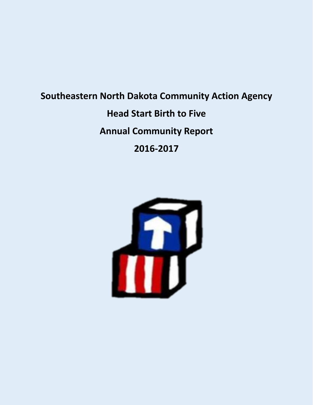# **Southeastern North Dakota Community Action Agency Head Start Birth to Five Annual Community Report 2016-2017**

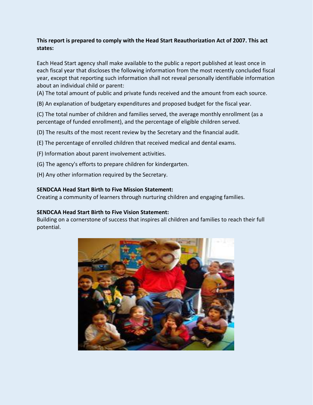## **This report is prepared to comply with the Head Start Reauthorization Act of 2007. This act states:**

Each Head Start agency shall make available to the public a report published at least once in each fiscal year that discloses the following information from the most recently concluded fiscal year, except that reporting such information shall not reveal personally identifiable information about an individual child or parent:

(A) The total amount of public and private funds received and the amount from each source.

(B) An explanation of budgetary expenditures and proposed budget for the fiscal year.

(C) The total number of children and families served, the average monthly enrollment (as a percentage of funded enrollment), and the percentage of eligible children served.

- (D) The results of the most recent review by the Secretary and the financial audit.
- (E) The percentage of enrolled children that received medical and dental exams.
- (F) Information about parent involvement activities.
- (G) The agency's efforts to prepare children for kindergarten.
- (H) Any other information required by the Secretary.

## **SENDCAA Head Start Birth to Five Mission Statement:**

Creating a community of learners through nurturing children and engaging families.

#### **SENDCAA Head Start Birth to Five Vision Statement:**

Building on a cornerstone of success that inspires all children and families to reach their full potential.

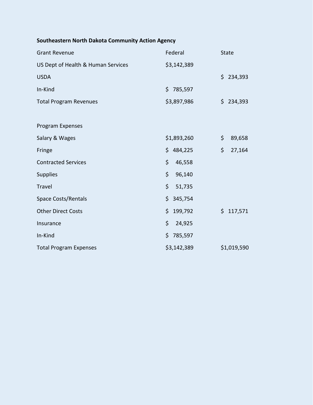# **Southeastern North Dakota Community Action Agency**

| <b>Grant Revenue</b>               | Federal        | <b>State</b> |
|------------------------------------|----------------|--------------|
| US Dept of Health & Human Services | \$3,142,389    |              |
| <b>USDA</b>                        |                | \$234,393    |
| In-Kind                            | \$.<br>785,597 |              |
| <b>Total Program Revenues</b>      | \$3,897,986    | \$234,393    |
|                                    |                |              |
| Program Expenses                   |                |              |
| Salary & Wages                     | \$1,893,260    | \$<br>89,658 |
| Fringe                             | \$<br>484,225  | \$<br>27,164 |
| <b>Contracted Services</b>         | \$<br>46,558   |              |
| Supplies                           | \$<br>96,140   |              |
| <b>Travel</b>                      | \$<br>51,735   |              |
| <b>Space Costs/Rentals</b>         | \$.<br>345,754 |              |
| <b>Other Direct Costs</b>          | \$<br>199,792  | \$117,571    |
| Insurance                          | \$<br>24,925   |              |
| In-Kind                            | \$<br>785,597  |              |
| <b>Total Program Expenses</b>      | \$3,142,389    | \$1,019,590  |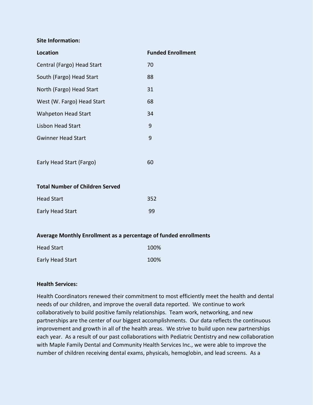#### **Site Information:**

| <b>Location</b>            | <b>Funded Enrollment</b> |
|----------------------------|--------------------------|
| Central (Fargo) Head Start | 70                       |
| South (Fargo) Head Start   | 88                       |
| North (Fargo) Head Start   | 31                       |
| West (W. Fargo) Head Start | 68                       |
| <b>Wahpeton Head Start</b> | 34                       |
| Lisbon Head Start          | 9                        |
| <b>Gwinner Head Start</b>  | 9                        |
|                            |                          |
| Early Head Start (Fargo)   | 60                       |
|                            |                          |

#### **Total Number of Children Served**

| <b>Head Start</b> | 352 |  |
|-------------------|-----|--|
| Early Head Start  | 99  |  |

#### **Average Monthly Enrollment as a percentage of funded enrollments**

| <b>Head Start</b> | 100% |
|-------------------|------|
| Early Head Start  | 100% |

#### **Health Services:**

Health Coordinators renewed their commitment to most efficiently meet the health and dental needs of our children, and improve the overall data reported. We continue to work collaboratively to build positive family relationships. Team work, networking, and new partnerships are the center of our biggest accomplishments. Our data reflects the continuous improvement and growth in all of the health areas. We strive to build upon new partnerships each year. As a result of our past collaborations with Pediatric Dentistry and new collaboration with Maple Family Dental and Community Health Services Inc., we were able to improve the number of children receiving dental exams, physicals, hemoglobin, and lead screens. As a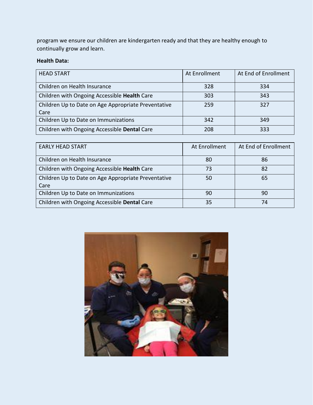program we ensure our children are kindergarten ready and that they are healthy enough to continually grow and learn.

# **Health Data:**

| <b>HEAD START</b>                                   | At Enrollment | At End of Enrollment |
|-----------------------------------------------------|---------------|----------------------|
| Children on Health Insurance                        | 328           | 334                  |
| Children with Ongoing Accessible Health Care        | 303           | 343                  |
| Children Up to Date on Age Appropriate Preventative | 259           | 327                  |
| Care                                                |               |                      |
| Children Up to Date on Immunizations                | 342           | 349                  |
| Children with Ongoing Accessible Dental Care        | 208           | 333                  |

| <b>EARLY HEAD START</b>                             | At Enrollment | At End of Enrollment |
|-----------------------------------------------------|---------------|----------------------|
| Children on Health Insurance                        | 80            | 86                   |
| Children with Ongoing Accessible Health Care        | 73            | 82                   |
| Children Up to Date on Age Appropriate Preventative | 50            | 65                   |
| Care                                                |               |                      |
| Children Up to Date on Immunizations                | 90            | 90                   |
| Children with Ongoing Accessible Dental Care        | 35            | 74                   |

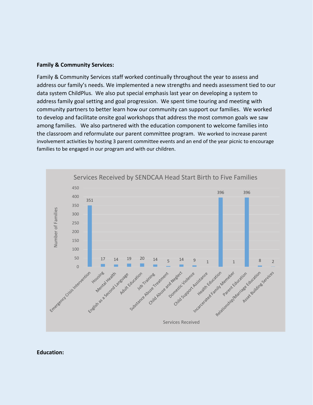#### **Family & Community Services:**

Family & Community Services staff worked continually throughout the year to assess and address our family's needs. We implemented a new strengths and needs assessment tied to our data system ChildPlus. We also put special emphasis last year on developing a system to address family goal setting and goal progression. We spent time touring and meeting with community partners to better learn how our community can support our families. We worked to develop and facilitate onsite goal workshops that address the most common goals we saw among families. We also partnered with the education component to welcome families into the classroom and reformulate our parent committee program. We worked to increase parent involvement activities by hosting 3 parent committee events and an end of the year picnic to encourage families to be engaged in our program and with our children.



#### **Education:**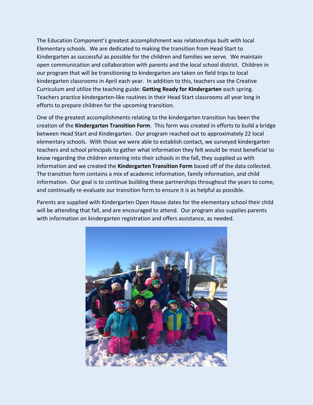The Education Component's greatest accomplishment was relationships built with local Elementary schools. We are dedicated to making the transition from Head Start to Kindergarten as successful as possible for the children and families we serve. We maintain open communication and collaboration with parents and the local school district. Children in our program that will be transitioning to kindergarten are taken on field trips to local kindergarten classrooms in April each year. In addition to this, teachers use the Creative Curriculum and utilize the teaching guide: **Getting Ready for Kindergarten** each spring. Teachers practice kindergarten-like routines in their Head Start classrooms all year long in efforts to prepare children for the upcoming transition.

One of the greatest accomplishments relating to the kindergarten transition has been the creation of the **Kindergarten Transition Form**. This form was created in efforts to build a bridge between Head Start and Kindergarten. Our program reached out to approximately 22 local elementary schools. With those we were able to establish contact, we surveyed kindergarten teachers and school principals to gather what information they felt would be most beneficial to know regarding the children entering into their schools in the fall, they supplied us with information and we created the **Kindergarten Transition Form** based off of the data collected. The transition form contains a mix of academic information, family information, and child information. Our goal is to continue building these partnerships throughout the years to come, and continually re-evaluate our transition form to ensure it is as helpful as possible.

Parents are supplied with Kindergarten Open House dates for the elementary school their child will be attending that fall, and are encouraged to attend. Our program also supplies parents with information on kindergarten registration and offers assistance, as needed.

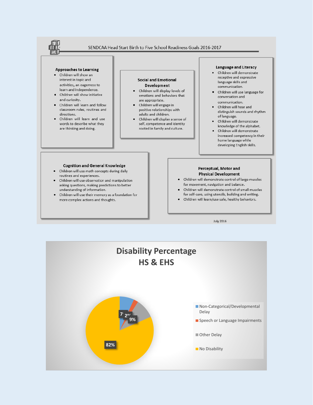

**July 2016** 

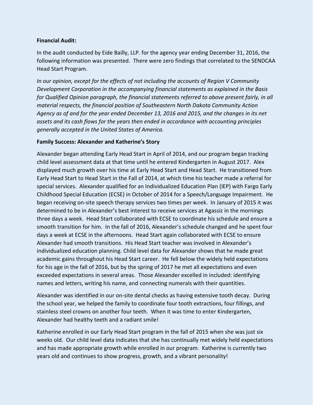#### **Financial Audit:**

In the audit conducted by Eide Bailly, LLP. for the agency year ending December 31, 2016, the following information was presented. There were zero findings that correlated to the SENDCAA Head Start Program.

*In our opinion, except for the effects of not including the accounts of Region V Community Development Corporation in the accompanying financial statements as explained in the Basis for Qualified Opinion paragraph, the financial statements referred to above present fairly, in all material respects, the financial position of Southeastern North Dakota Community Action Agency as of and for the year ended December 13, 2016 and 2015, and the changes in its net assets and its cash flows for the years then ended in accordance with accounting principles generally accepted in the United States of America.*

## **Family Success: Alexander and Katherine's Story**

Alexander began attending Early Head Start in April of 2014, and our program began tracking child level assessment data at that time until he entered Kindergarten in August 2017. Alex displayed much growth over his time at Early Head Start and Head Start. He transitioned from Early Head Start to Head Start in the Fall of 2014, at which time his teacher made a referral for special services. Alexander qualified for an Individualized Education Plan (IEP) with Fargo Early Childhood Special Education (ECSE) in October of 2014 for a Speech/Language Impairment. He began receiving on-site speech therapy services two times per week. In January of 2015 it was determined to be in Alexander's best interest to receive services at Agassiz in the mornings three days a week. Head Start collaborated with ECSE to coordinate his schedule and ensure a smooth transition for him. In the fall of 2016, Alexander's schedule changed and he spent four days a week at ECSE in the afternoons. Head Start again collaborated with ECSE to ensure Alexander had smooth transitions. His Head Start teacher was involved in Alexander's individualized education planning. Child level data for Alexander shows that he made great academic gains throughout his Head Start career. He fell below the widely held expectations for his age in the fall of 2016, but by the spring of 2017 he met all expectations and even exceeded expectations in several areas. Those Alexander excelled in included: identifying names and letters, writing his name, and connecting numerals with their quantities.

Alexander was identified in our on-site dental checks as having extensive tooth decay. During the school year, we helped the family to coordinate four tooth extractions, four fillings, and stainless steel crowns on another four teeth. When it was time to enter Kindergarten, Alexander had healthy teeth and a radiant smile!

Katherine enrolled in our Early Head Start program in the fall of 2015 when she was just six weeks old. Our child level data indicates that she has continually met widely held expectations and has made appropriate growth while enrolled in our program. Katherine is currently two years old and continues to show progress, growth, and a vibrant personality!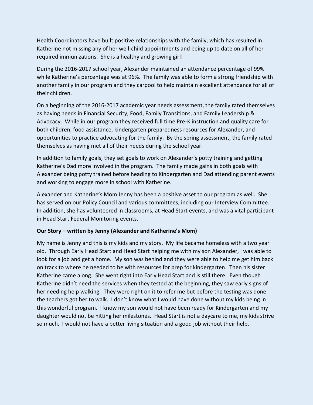Health Coordinators have built positive relationships with the family, which has resulted in Katherine not missing any of her well-child appointments and being up to date on all of her required immunizations. She is a healthy and growing girl!

During the 2016-2017 school year, Alexander maintained an attendance percentage of 99% while Katherine's percentage was at 96%. The family was able to form a strong friendship with another family in our program and they carpool to help maintain excellent attendance for all of their children.

On a beginning of the 2016-2017 academic year needs assessment, the family rated themselves as having needs in Financial Security, Food, Family Transitions, and Family Leadership & Advocacy. While in our program they received full time Pre-K instruction and quality care for both children, food assistance, kindergarten preparedness resources for Alexander, and opportunities to practice advocating for the family. By the spring assessment, the family rated themselves as having met all of their needs during the school year.

In addition to family goals, they set goals to work on Alexander's potty training and getting Katherine's Dad more involved in the program. The family made gains in both goals with Alexander being potty trained before heading to Kindergarten and Dad attending parent events and working to engage more in school with Katherine.

Alexander and Katherine's Mom Jenny has been a positive asset to our program as well. She has served on our Policy Council and various committees, including our Interview Committee. In addition, she has volunteered in classrooms, at Head Start events, and was a vital participant in Head Start Federal Monitoring events.

#### **Our Story – written by Jenny (Alexander and Katherine's Mom)**

My name is Jenny and this is my kids and my story. My life became homeless with a two year old. Through Early Head Start and Head Start helping me with my son Alexander, I was able to look for a job and get a home. My son was behind and they were able to help me get him back on track to where he needed to be with resources for prep for kindergarten. Then his sister Katherine came along. She went right into Early Head Start and is still there. Even though Katherine didn't need the services when they tested at the beginning, they saw early signs of her needing help walking. They were right on it to refer me but before the testing was done the teachers got her to walk. I don't know what I would have done without my kids being in this wonderful program. I know my son would not have been ready for Kindergarten and my daughter would not be hitting her milestones. Head Start is not a daycare to me, my kids strive so much. I would not have a better living situation and a good job without their help.